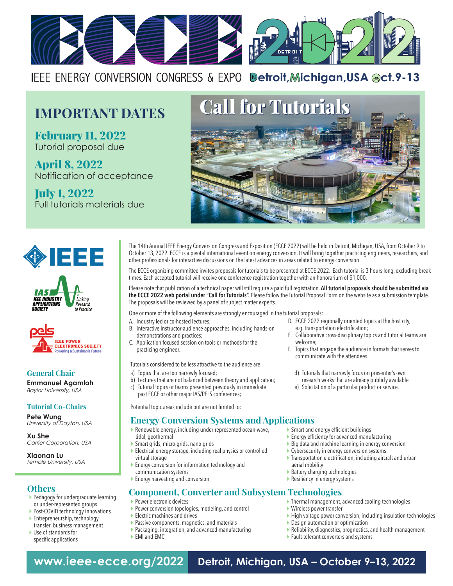

IEEE ENERGY CONVERSION CONGRESS & EXPO **Betroit, Michigan, USA @ct.9-13** 

February 11, 2022 Tutorial proposal due

April 8, 2022 Notification of acceptance

July 1, 2022 Full tutorials materials due





*IEEE INDUSTRY*<br>APPLICATIONS Linking Research to Practice



**General Chair Emmanuel Agamloh** *Baylor University, USA*

#### **Tutorial Co-Chairs**

**Pete Wung**  *University of Dayton, USA*

**Xu She** *Carrier Corporation, USA*

**Xiaonan Lu** *Temple University, USA*

#### **Others**

- **Pedagogy for undergraduate learning** or under-represented groups
- Post-COVID technology innovations
- Entrepreneurship, technology transfer, business management
- Use of standards for specific applications

The 14th Annual IEEE Energy Conversion Congress and Exposition (ECCE 2022) will be held in Detroit, Michigan, USA, from October 9 to October 13, 2022. ECCE is a pivotal international event on energy conversion. It will bring together practicing engineers, researchers, and other professionals for interactive discussions on the latest advances in areas related to energy conversion.

The ECCE organizing committee invites proposals for tutorials to be presented at ECCE 2022. Each tutorial is 3 hours long, excluding break times. Each accepted tutorial will receive one conference registration together with an honorarium of \$1,000.

Please note that publication of a technical paper will still require a paid full registration. **All tutorial proposals should be submitted via the ECCE 2022 web portal under "Call for Tutorials".** Please follow the Tutorial Proposal Form on the website as a submission template. The proposals will be reviewed by a panel of subject matter experts.

One or more of the following elements are strongly encouraged in the tutorial proposals:

- A. Industry led or co-hosted lectures;<br>B. Interactive instructor-audience app
- Interactive instructor-audience approaches, including hands-on demonstrations and practices;
- C. Application focused session on tools or methods for the practicing engineer.
- Tutorials considered to be less attractive to the audience are:
- a) Topics that are too narrowly focused;
- b) Lectures that are not balanced between theory and application;
- c) Tutorial topics or teams presented previously in immediate
- past ECCE or other major IAS/PELS conferences;

Potential topic areas include but are not limited to:

## **Energy Conversion Systems and Applications**

- Renewable energy, including under-represented ocean-wave, tidal, geothermal
- Smart grids, micro-grids, nano-grids
- Electrical energy storage, including real physics or controlled virtual storage
- ▶ Energy conversion for information technology and communication systems
- ▶ Energy harvesting and conversion

### **Component, Converter and Subsystem Technologies**

- **Power electronic devices**
- Power conversion topologies, modeling, and control
- Electric machines and drives
- Passive components, magnetics, and materials
- Packaging, integration, and advanced manufacturing
- EMI and EMC
- ▶ Smart and energy efficient buildings
- Energy efficiency for advanced manufacturing
- Big data and machine learning in energy conversion

D. ECCE 2022 regionally oriented topics at the host city,

E. Collaborative cross-disciplinary topics and tutorial teams are

F. Topics that engage the audience in formats that serves to

d) Tutorials that narrowly focus on presenter's own research works that are already publicly available e) Solicitation of a particular product or service.

e.g. transportation electrification;

communicate with the attendees.

welcome;

- Cybersecurity in energy conversion systems
- Transportation electrification, including aircraft and urban aerial mobility
- $\blacktriangleright$  Battery charging technologies
- Resiliency in energy systems
- Thermal management, advanced cooling technologies
- Wireless power transfer
- High voltage power conversion, including insulation technologies
- ▶ Design automation or optimization
- Reliability, diagnostics, prognostics, and health management
- Fault-tolerant converters and systems

**www.ieee-ecce.org/2022 Detroit, Michigan, USA – October 9–13, 2022**